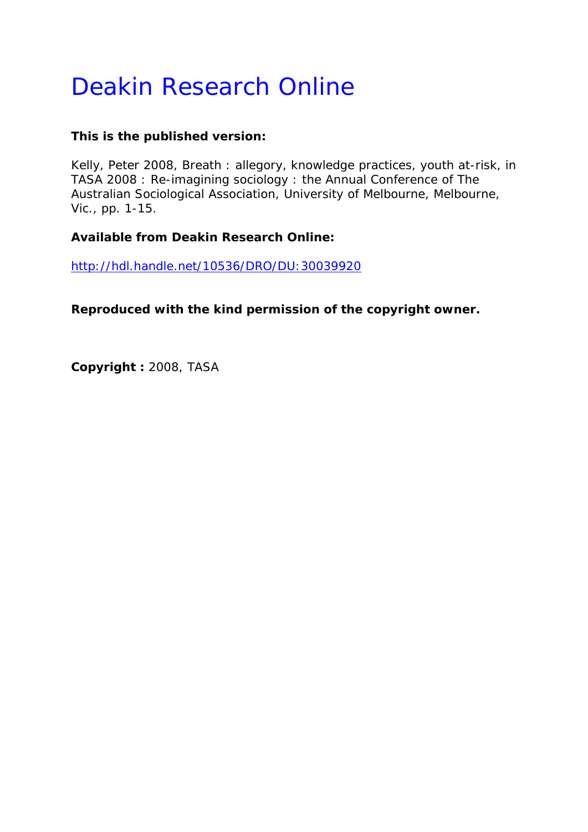# Deakin Research Online

## **This is the published version:**

Kelly, Peter 2008, Breath : allegory, knowledge practices, youth at-risk*, in TASA 2008 : Re-imagining sociology : the Annual Conference of The Australian Sociological Association*, University of Melbourne, Melbourne, Vic., pp. 1-15.

**Available from Deakin Research Online:** 

http://hdl.handle.net/10536/DRO/DU:30039920

**Reproduced with the kind permission of the copyright owner.** 

**Copyright :** 2008, TASA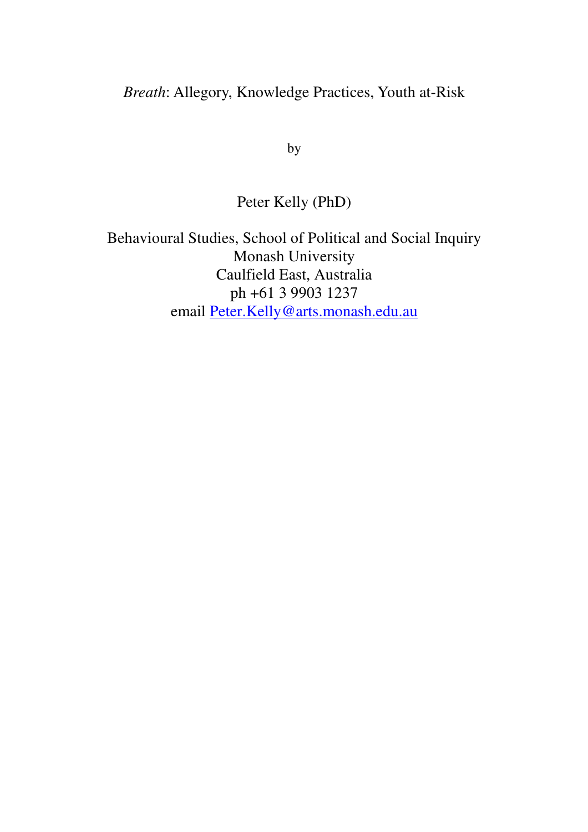*Breath*: Allegory, Knowledge Practices, Youth at-Risk

by

# Peter Kelly (PhD)

Behavioural Studies, School of Political and Social Inquiry Monash University Caulfield East, Australia ph +61 3 9903 1237 email Peter.Kelly@arts.monash.edu.au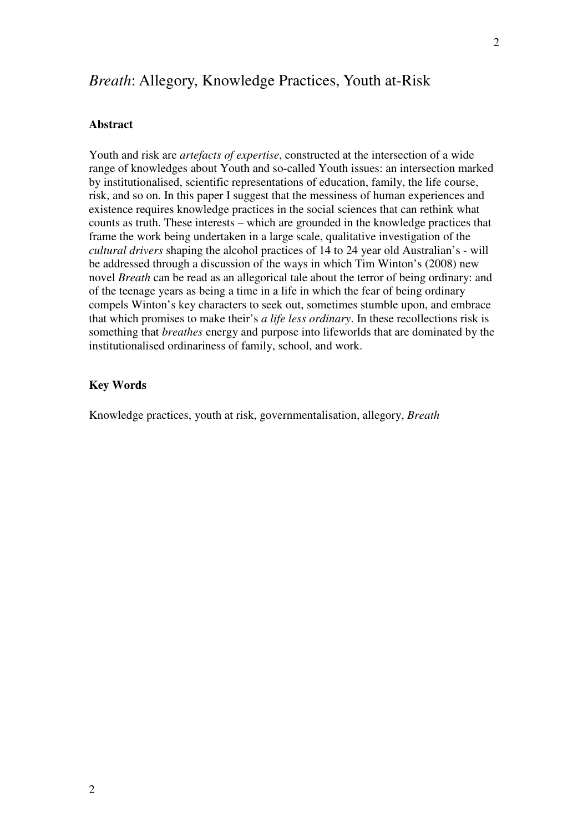## *Breath*: Allegory, Knowledge Practices, Youth at-Risk

#### **Abstract**

Youth and risk are *artefacts of expertise*, constructed at the intersection of a wide range of knowledges about Youth and so-called Youth issues: an intersection marked by institutionalised, scientific representations of education, family, the life course, risk, and so on. In this paper I suggest that the messiness of human experiences and existence requires knowledge practices in the social sciences that can rethink what counts as truth. These interests – which are grounded in the knowledge practices that frame the work being undertaken in a large scale, qualitative investigation of the *cultural drivers* shaping the alcohol practices of 14 to 24 year old Australian's - will be addressed through a discussion of the ways in which Tim Winton's (2008) new novel *Breath* can be read as an allegorical tale about the terror of being ordinary: and of the teenage years as being a time in a life in which the fear of being ordinary compels Winton's key characters to seek out, sometimes stumble upon, and embrace that which promises to make their's *a life less ordinary*. In these recollections risk is something that *breathes* energy and purpose into lifeworlds that are dominated by the institutionalised ordinariness of family, school, and work.

#### **Key Words**

Knowledge practices, youth at risk, governmentalisation, allegory, *Breath*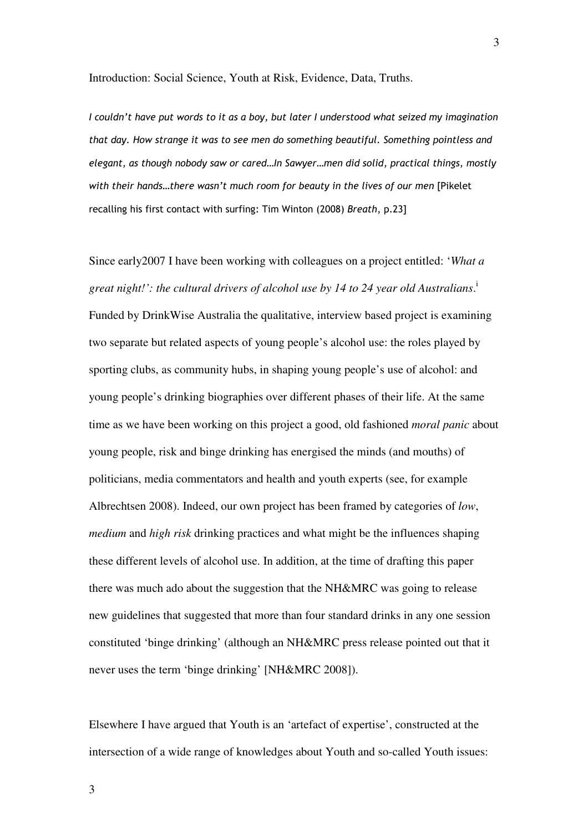Introduction: Social Science, Youth at Risk, Evidence, Data, Truths.

I couldn't have put words to it as a boy, but later I understood what seized my imagination that day. How strange it was to see men do something beautiful. Something pointless and elegant, as though nobody saw or cared…In Sawyer…men did solid, practical things, mostly with their hands…there wasn't much room for beauty in the lives of our men [Pikelet recalling his first contact with surfing: Tim Winton (2008) Breath, p.23]

Since early2007 I have been working with colleagues on a project entitled: '*What a great night!': the cultural drivers of alcohol use by 14 to 24 year old Australians*. i Funded by DrinkWise Australia the qualitative, interview based project is examining two separate but related aspects of young people's alcohol use: the roles played by sporting clubs, as community hubs, in shaping young people's use of alcohol: and young people's drinking biographies over different phases of their life. At the same time as we have been working on this project a good, old fashioned *moral panic* about young people, risk and binge drinking has energised the minds (and mouths) of politicians, media commentators and health and youth experts (see, for example Albrechtsen 2008). Indeed, our own project has been framed by categories of *low*, *medium* and *high risk* drinking practices and what might be the influences shaping these different levels of alcohol use. In addition, at the time of drafting this paper there was much ado about the suggestion that the NH&MRC was going to release new guidelines that suggested that more than four standard drinks in any one session constituted 'binge drinking' (although an NH&MRC press release pointed out that it never uses the term 'binge drinking' [NH&MRC 2008]).

Elsewhere I have argued that Youth is an 'artefact of expertise', constructed at the intersection of a wide range of knowledges about Youth and so-called Youth issues: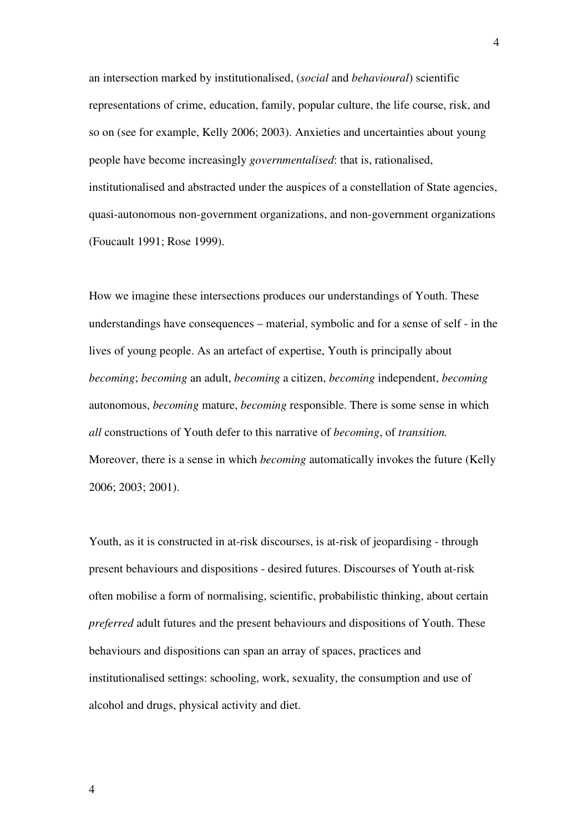an intersection marked by institutionalised, (*social* and *behavioural*) scientific representations of crime, education, family, popular culture, the life course, risk, and so on (see for example, Kelly 2006; 2003). Anxieties and uncertainties about young people have become increasingly *governmentalised*: that is, rationalised, institutionalised and abstracted under the auspices of a constellation of State agencies, quasi-autonomous non-government organizations, and non-government organizations (Foucault 1991; Rose 1999).

How we imagine these intersections produces our understandings of Youth. These understandings have consequences – material, symbolic and for a sense of self - in the lives of young people. As an artefact of expertise, Youth is principally about *becoming*; *becoming* an adult, *becoming* a citizen, *becoming* independent, *becoming* autonomous, *becoming* mature, *becoming* responsible. There is some sense in which *all* constructions of Youth defer to this narrative of *becoming*, of *transition.* Moreover, there is a sense in which *becoming* automatically invokes the future (Kelly 2006; 2003; 2001).

Youth, as it is constructed in at-risk discourses, is at-risk of jeopardising - through present behaviours and dispositions - desired futures. Discourses of Youth at-risk often mobilise a form of normalising, scientific, probabilistic thinking, about certain *preferred* adult futures and the present behaviours and dispositions of Youth. These behaviours and dispositions can span an array of spaces, practices and institutionalised settings: schooling, work, sexuality, the consumption and use of alcohol and drugs, physical activity and diet.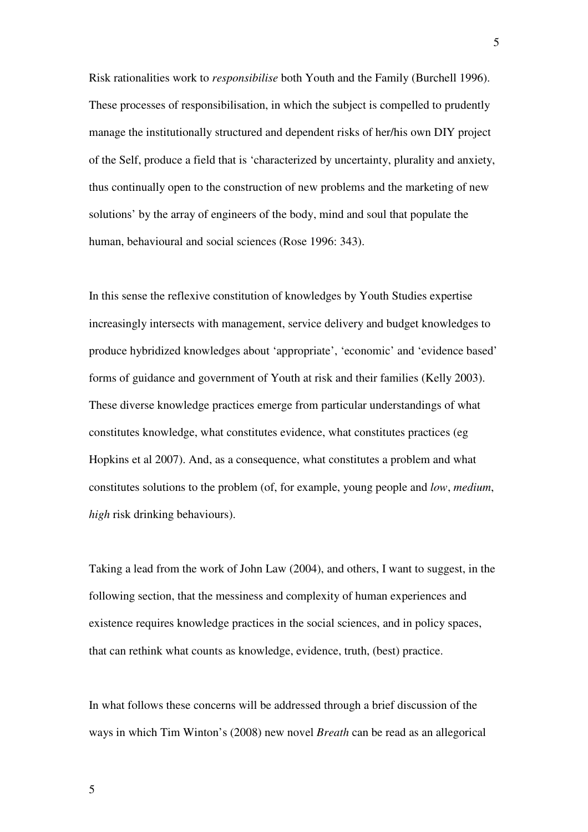Risk rationalities work to *responsibilise* both Youth and the Family (Burchell 1996). These processes of responsibilisation, in which the subject is compelled to prudently manage the institutionally structured and dependent risks of her/his own DIY project of the Self, produce a field that is 'characterized by uncertainty, plurality and anxiety, thus continually open to the construction of new problems and the marketing of new solutions' by the array of engineers of the body, mind and soul that populate the human, behavioural and social sciences (Rose 1996: 343).

In this sense the reflexive constitution of knowledges by Youth Studies expertise increasingly intersects with management, service delivery and budget knowledges to produce hybridized knowledges about 'appropriate', 'economic' and 'evidence based' forms of guidance and government of Youth at risk and their families (Kelly 2003). These diverse knowledge practices emerge from particular understandings of what constitutes knowledge, what constitutes evidence, what constitutes practices (eg Hopkins et al 2007). And, as a consequence, what constitutes a problem and what constitutes solutions to the problem (of, for example, young people and *low*, *medium*, *high* risk drinking behaviours).

Taking a lead from the work of John Law (2004), and others, I want to suggest, in the following section, that the messiness and complexity of human experiences and existence requires knowledge practices in the social sciences, and in policy spaces, that can rethink what counts as knowledge, evidence, truth, (best) practice.

In what follows these concerns will be addressed through a brief discussion of the ways in which Tim Winton's (2008) new novel *Breath* can be read as an allegorical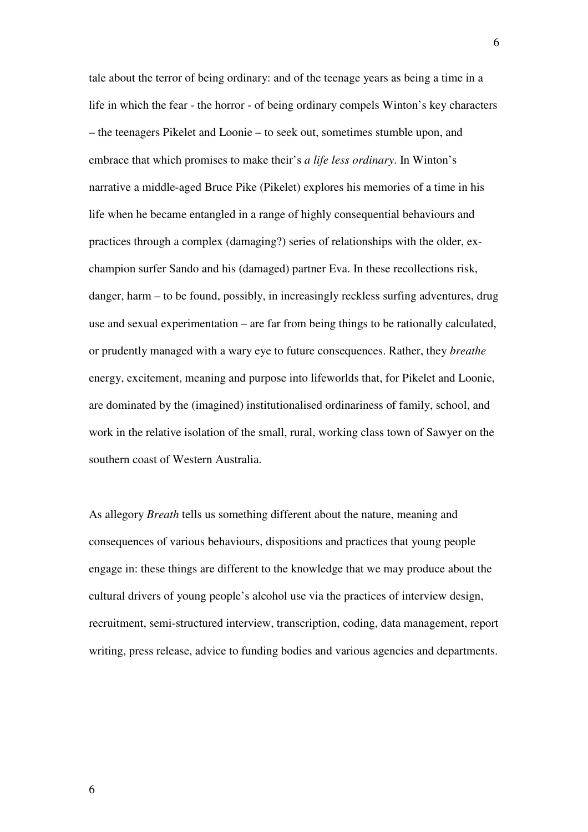tale about the terror of being ordinary: and of the teenage years as being a time in a life in which the fear - the horror - of being ordinary compels Winton's key characters – the teenagers Pikelet and Loonie – to seek out, sometimes stumble upon, and embrace that which promises to make their's *a life less ordinary*. In Winton's narrative a middle-aged Bruce Pike (Pikelet) explores his memories of a time in his life when he became entangled in a range of highly consequential behaviours and practices through a complex (damaging?) series of relationships with the older, exchampion surfer Sando and his (damaged) partner Eva. In these recollections risk, danger, harm – to be found, possibly, in increasingly reckless surfing adventures, drug use and sexual experimentation – are far from being things to be rationally calculated, or prudently managed with a wary eye to future consequences. Rather, they *breathe* energy, excitement, meaning and purpose into lifeworlds that, for Pikelet and Loonie, are dominated by the (imagined) institutionalised ordinariness of family, school, and work in the relative isolation of the small, rural, working class town of Sawyer on the southern coast of Western Australia.

As allegory *Breath* tells us something different about the nature, meaning and consequences of various behaviours, dispositions and practices that young people engage in: these things are different to the knowledge that we may produce about the cultural drivers of young people's alcohol use via the practices of interview design, recruitment, semi-structured interview, transcription, coding, data management, report writing, press release, advice to funding bodies and various agencies and departments.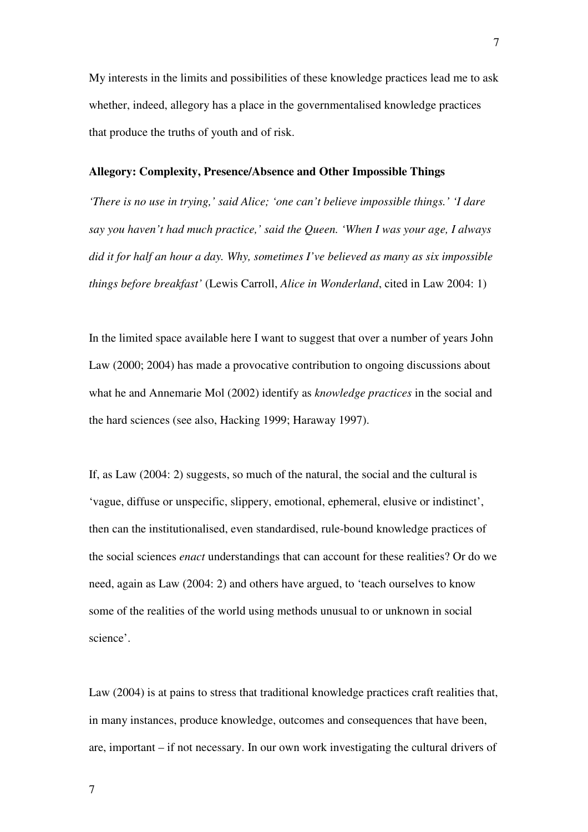My interests in the limits and possibilities of these knowledge practices lead me to ask whether, indeed, allegory has a place in the governmentalised knowledge practices that produce the truths of youth and of risk.

#### **Allegory: Complexity, Presence/Absence and Other Impossible Things**

*'There is no use in trying,' said Alice; 'one can't believe impossible things.' 'I dare say you haven't had much practice,' said the Queen. 'When I was your age, I always did it for half an hour a day. Why, sometimes I've believed as many as six impossible things before breakfast'* (Lewis Carroll, *Alice in Wonderland*, cited in Law 2004: 1)

In the limited space available here I want to suggest that over a number of years John Law (2000; 2004) has made a provocative contribution to ongoing discussions about what he and Annemarie Mol (2002) identify as *knowledge practices* in the social and the hard sciences (see also, Hacking 1999; Haraway 1997).

If, as Law (2004: 2) suggests, so much of the natural, the social and the cultural is 'vague, diffuse or unspecific, slippery, emotional, ephemeral, elusive or indistinct', then can the institutionalised, even standardised, rule-bound knowledge practices of the social sciences *enact* understandings that can account for these realities? Or do we need, again as Law (2004: 2) and others have argued, to 'teach ourselves to know some of the realities of the world using methods unusual to or unknown in social science'.

Law (2004) is at pains to stress that traditional knowledge practices craft realities that, in many instances, produce knowledge, outcomes and consequences that have been, are, important – if not necessary. In our own work investigating the cultural drivers of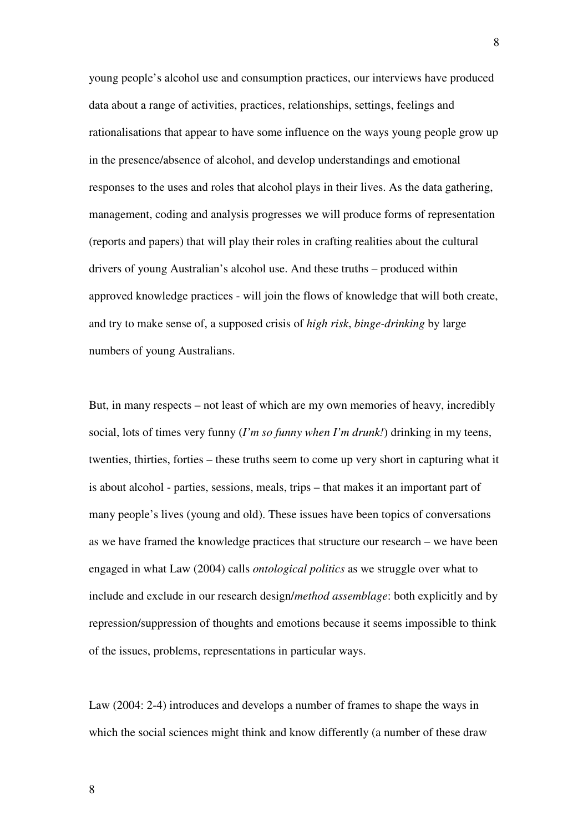young people's alcohol use and consumption practices, our interviews have produced data about a range of activities, practices, relationships, settings, feelings and rationalisations that appear to have some influence on the ways young people grow up in the presence/absence of alcohol, and develop understandings and emotional responses to the uses and roles that alcohol plays in their lives. As the data gathering, management, coding and analysis progresses we will produce forms of representation (reports and papers) that will play their roles in crafting realities about the cultural drivers of young Australian's alcohol use. And these truths – produced within approved knowledge practices - will join the flows of knowledge that will both create, and try to make sense of, a supposed crisis of *high risk*, *binge-drinking* by large numbers of young Australians.

But, in many respects – not least of which are my own memories of heavy, incredibly social, lots of times very funny (*I'm so funny when I'm drunk!*) drinking in my teens, twenties, thirties, forties – these truths seem to come up very short in capturing what it is about alcohol - parties, sessions, meals, trips – that makes it an important part of many people's lives (young and old). These issues have been topics of conversations as we have framed the knowledge practices that structure our research – we have been engaged in what Law (2004) calls *ontological politics* as we struggle over what to include and exclude in our research design/*method assemblage*: both explicitly and by repression/suppression of thoughts and emotions because it seems impossible to think of the issues, problems, representations in particular ways.

Law (2004: 2-4) introduces and develops a number of frames to shape the ways in which the social sciences might think and know differently (a number of these draw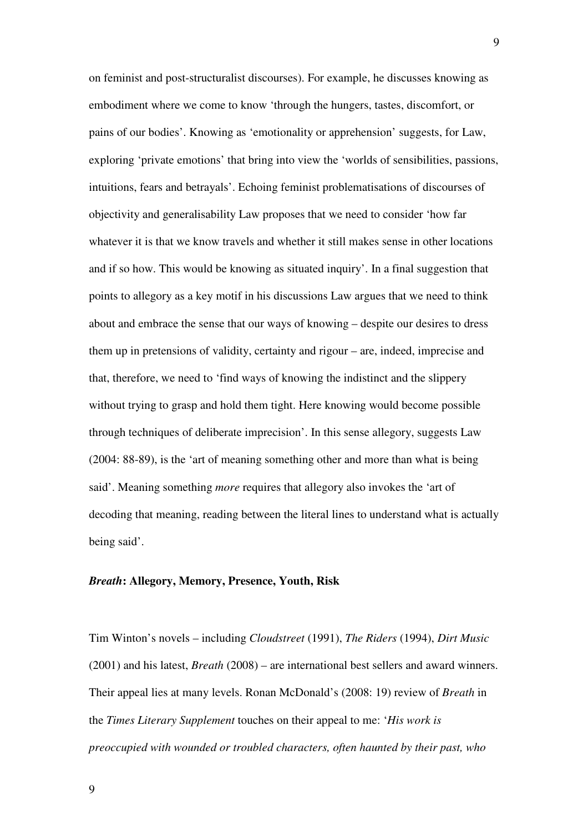on feminist and post-structuralist discourses). For example, he discusses knowing as embodiment where we come to know 'through the hungers, tastes, discomfort, or pains of our bodies'. Knowing as 'emotionality or apprehension' suggests, for Law, exploring 'private emotions' that bring into view the 'worlds of sensibilities, passions, intuitions, fears and betrayals'. Echoing feminist problematisations of discourses of objectivity and generalisability Law proposes that we need to consider 'how far whatever it is that we know travels and whether it still makes sense in other locations and if so how. This would be knowing as situated inquiry'. In a final suggestion that points to allegory as a key motif in his discussions Law argues that we need to think about and embrace the sense that our ways of knowing – despite our desires to dress them up in pretensions of validity, certainty and rigour – are, indeed, imprecise and that, therefore, we need to 'find ways of knowing the indistinct and the slippery without trying to grasp and hold them tight. Here knowing would become possible through techniques of deliberate imprecision'. In this sense allegory, suggests Law (2004: 88-89), is the 'art of meaning something other and more than what is being said'. Meaning something *more* requires that allegory also invokes the 'art of decoding that meaning, reading between the literal lines to understand what is actually being said'.

#### *Breath***: Allegory, Memory, Presence, Youth, Risk**

Tim Winton's novels – including *Cloudstreet* (1991), *The Riders* (1994), *Dirt Music* (2001) and his latest, *Breath* (2008) – are international best sellers and award winners. Their appeal lies at many levels. Ronan McDonald's (2008: 19) review of *Breath* in the *Times Literary Supplement* touches on their appeal to me: '*His work is preoccupied with wounded or troubled characters, often haunted by their past, who*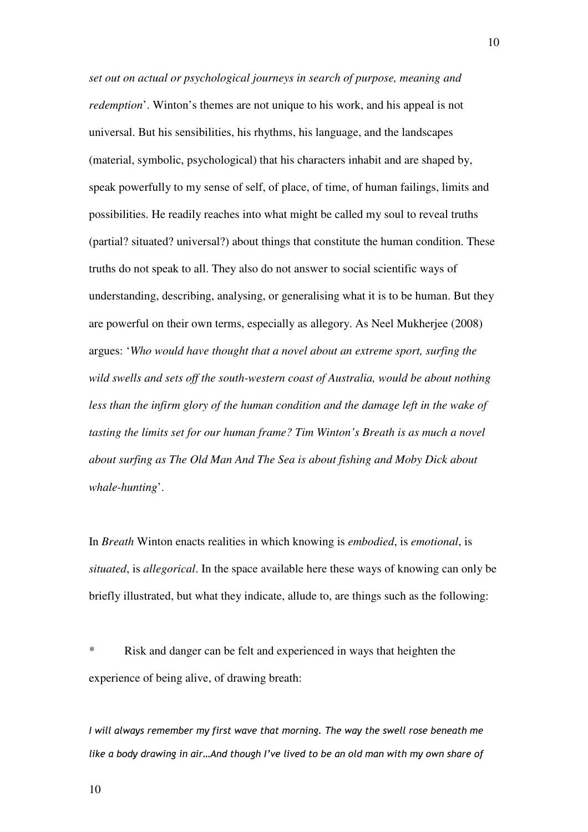*set out on actual or psychological journeys in search of purpose, meaning and redemption*'. Winton's themes are not unique to his work, and his appeal is not universal. But his sensibilities, his rhythms, his language, and the landscapes (material, symbolic, psychological) that his characters inhabit and are shaped by, speak powerfully to my sense of self, of place, of time, of human failings, limits and possibilities. He readily reaches into what might be called my soul to reveal truths (partial? situated? universal?) about things that constitute the human condition. These truths do not speak to all. They also do not answer to social scientific ways of understanding, describing, analysing, or generalising what it is to be human. But they are powerful on their own terms, especially as allegory. As Neel Mukherjee (2008) argues: '*Who would have thought that a novel about an extreme sport, surfing the wild swells and sets off the south-western coast of Australia, would be about nothing less than the infirm glory of the human condition and the damage left in the wake of tasting the limits set for our human frame? Tim Winton's Breath is as much a novel about surfing as The Old Man And The Sea is about fishing and Moby Dick about whale-hunting*'.

In *Breath* Winton enacts realities in which knowing is *embodied*, is *emotional*, is *situated*, is *allegorical*. In the space available here these ways of knowing can only be briefly illustrated, but what they indicate, allude to, are things such as the following:

Risk and danger can be felt and experienced in ways that heighten the experience of being alive, of drawing breath:

I will always remember my first wave that morning. The way the swell rose beneath me like a body drawing in air…And though I've lived to be an old man with my own share of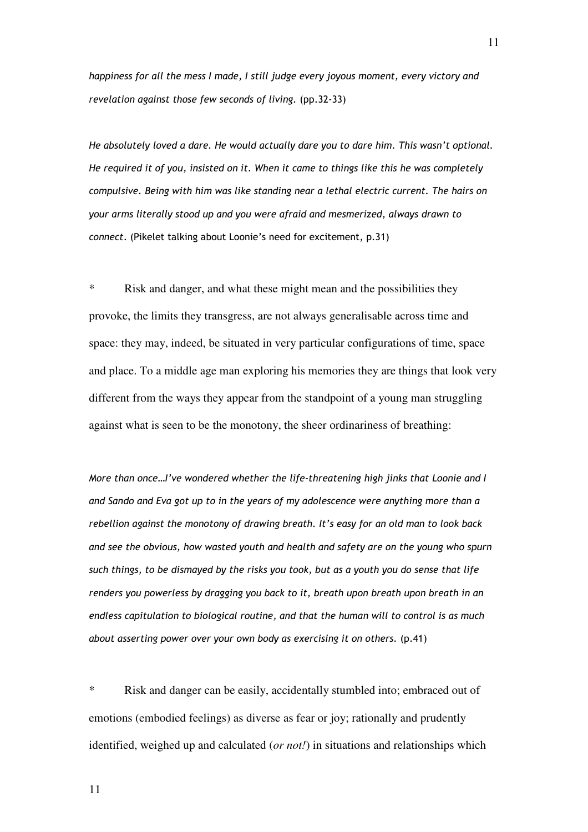happiness for all the mess I made, I still judge every joyous moment, every victory and revelation against those few seconds of living. (pp.32-33)

He absolutely loved a dare. He would actually dare you to dare him. This wasn't optional. He required it of you, insisted on it. When it came to things like this he was completely compulsive. Being with him was like standing near a lethal electric current. The hairs on your arms literally stood up and you were afraid and mesmerized, always drawn to connect. (Pikelet talking about Loonie's need for excitement, p.31)

\* Risk and danger, and what these might mean and the possibilities they provoke, the limits they transgress, are not always generalisable across time and space: they may, indeed, be situated in very particular configurations of time, space and place. To a middle age man exploring his memories they are things that look very different from the ways they appear from the standpoint of a young man struggling against what is seen to be the monotony, the sheer ordinariness of breathing:

More than once...I've wondered whether the life-threatening high jinks that Loonie and I and Sando and Eva got up to in the years of my adolescence were anything more than a rebellion against the monotony of drawing breath. It's easy for an old man to look back and see the obvious, how wasted youth and health and safety are on the young who spurn such things, to be dismayed by the risks you took, but as a youth you do sense that life renders you powerless by dragging you back to it, breath upon breath upon breath in an endless capitulation to biological routine, and that the human will to control is as much about asserting power over your own body as exercising it on others. (p.41)

\* Risk and danger can be easily, accidentally stumbled into; embraced out of emotions (embodied feelings) as diverse as fear or joy; rationally and prudently identified, weighed up and calculated (*or not!*) in situations and relationships which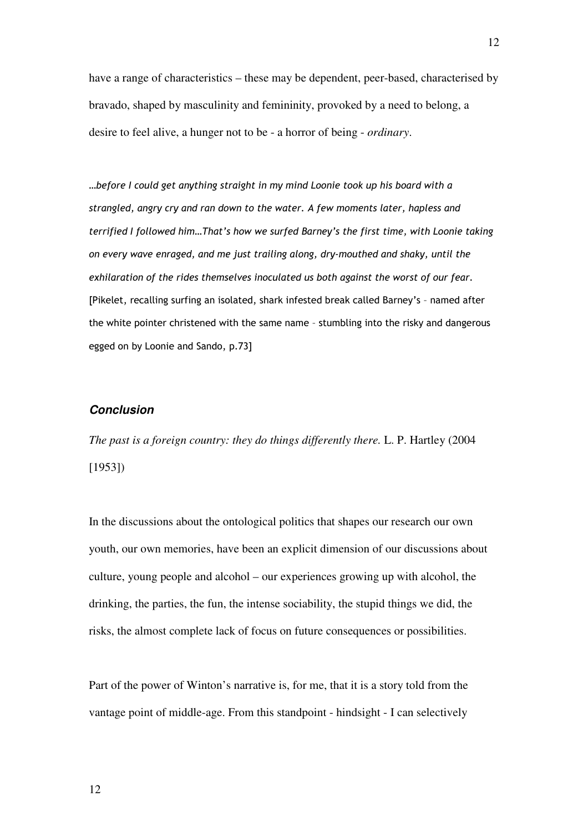have a range of characteristics – these may be dependent, peer-based, characterised by bravado, shaped by masculinity and femininity, provoked by a need to belong, a desire to feel alive, a hunger not to be - a horror of being - *ordinary*.

before I could get anything straight in my mind Loonie took up his board with a... strangled, angry cry and ran down to the water. A few moments later, hapless and terrified I followed him…That's how we surfed Barney's the first time, with Loonie taking on every wave enraged, and me just trailing along, dry-mouthed and shaky, until the exhilaration of the rides themselves inoculated us both against the worst of our fear. [Pikelet, recalling surfing an isolated, shark infested break called Barney's - named after the white pointer christened with the same name - stumbling into the risky and dangerous egged on by Loonie and Sando, p.73]

#### *Conclusion*

*The past is a foreign country: they do things differently there.* L. P. Hartley (2004 [1953])

In the discussions about the ontological politics that shapes our research our own youth, our own memories, have been an explicit dimension of our discussions about culture, young people and alcohol – our experiences growing up with alcohol, the drinking, the parties, the fun, the intense sociability, the stupid things we did, the risks, the almost complete lack of focus on future consequences or possibilities.

Part of the power of Winton's narrative is, for me, that it is a story told from the vantage point of middle-age. From this standpoint - hindsight - I can selectively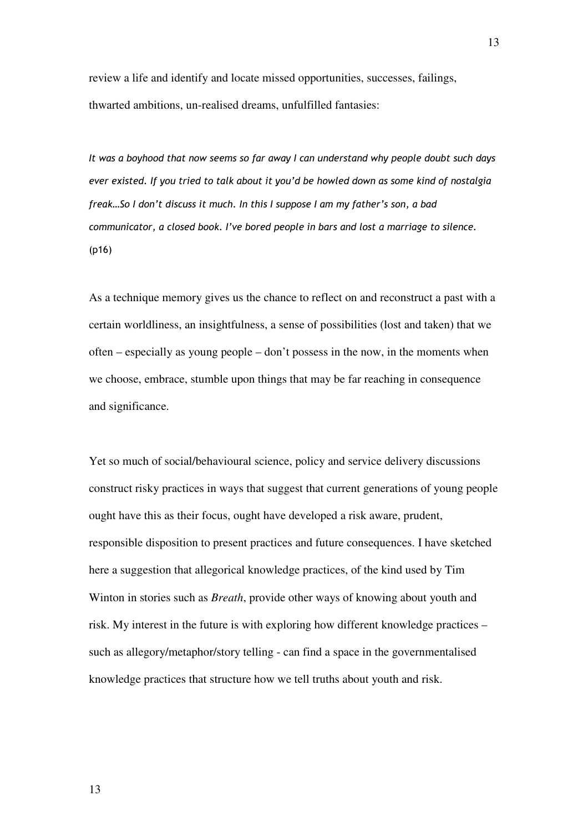review a life and identify and locate missed opportunities, successes, failings, thwarted ambitions, un-realised dreams, unfulfilled fantasies:

It was a boyhood that now seems so far away I can understand why people doubt such days ever existed. If you tried to talk about it you'd be howled down as some kind of nostalgia freak…So I don't discuss it much. In this I suppose I am my father's son, a bad communicator, a closed book. I've bored people in bars and lost a marriage to silence.  $(p16)$ 

As a technique memory gives us the chance to reflect on and reconstruct a past with a certain worldliness, an insightfulness, a sense of possibilities (lost and taken) that we often – especially as young people – don't possess in the now, in the moments when we choose, embrace, stumble upon things that may be far reaching in consequence and significance.

Yet so much of social/behavioural science, policy and service delivery discussions construct risky practices in ways that suggest that current generations of young people ought have this as their focus, ought have developed a risk aware, prudent, responsible disposition to present practices and future consequences. I have sketched here a suggestion that allegorical knowledge practices, of the kind used by Tim Winton in stories such as *Breath*, provide other ways of knowing about youth and risk. My interest in the future is with exploring how different knowledge practices – such as allegory/metaphor/story telling - can find a space in the governmentalised knowledge practices that structure how we tell truths about youth and risk.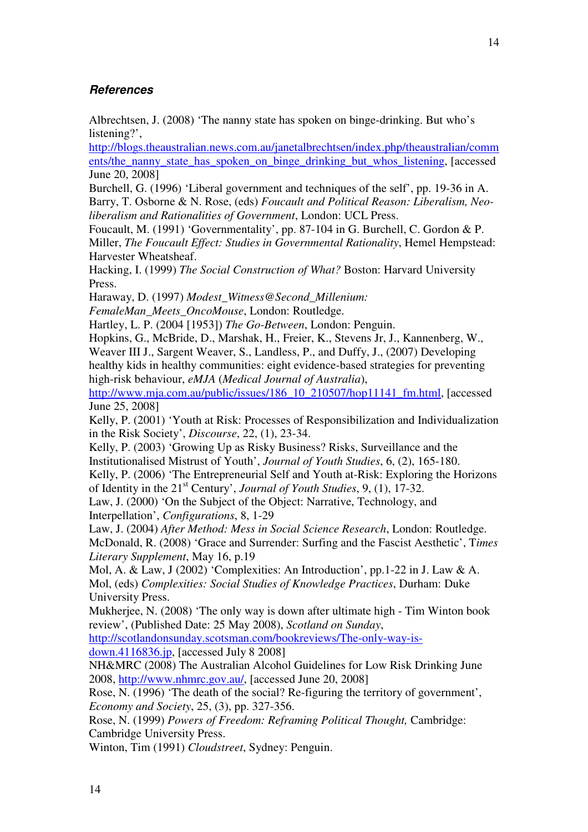### *References*

Albrechtsen, J. (2008) 'The nanny state has spoken on binge-drinking. But who's listening?',

http://blogs.theaustralian.news.com.au/janetalbrechtsen/index.php/theaustralian/comm ents/the\_nanny\_state\_has\_spoken\_on\_binge\_drinking\_but\_whos\_listening, [accessed June 20, 2008]

Burchell, G. (1996) 'Liberal government and techniques of the self', pp. 19-36 in A. Barry, T. Osborne & N. Rose, (eds) *Foucault and Political Reason: Liberalism, Neoliberalism and Rationalities of Government*, London: UCL Press.

Foucault, M. (1991) 'Governmentality', pp. 87-104 in G. Burchell, C. Gordon & P. Miller, *The Foucault Effect: Studies in Governmental Rationality*, Hemel Hempstead: Harvester Wheatsheaf.

Hacking, I. (1999) *The Social Construction of What?* Boston: Harvard University Press.

Haraway, D. (1997) *Modest\_Witness@Second\_Millenium:*

*FemaleMan\_Meets\_OncoMouse*, London: Routledge.

Hartley, L. P. (2004 [1953]) *The Go-Between*, London: Penguin.

Hopkins, G., McBride, D., Marshak, H., Freier, K., Stevens Jr, J., Kannenberg, W., Weaver III J., Sargent Weaver, S., Landless, P., and Duffy, J., (2007) Developing healthy kids in healthy communities: eight evidence-based strategies for preventing high-risk behaviour, *eMJA* (*Medical Journal of Australia*),

http://www.mja.com.au/public/issues/186\_10\_210507/hop11141\_fm.html, [accessed] June 25, 2008]

Kelly, P. (2001) 'Youth at Risk: Processes of Responsibilization and Individualization in the Risk Society', *Discourse*, 22, (1), 23-34.

Kelly, P. (2003) 'Growing Up as Risky Business? Risks, Surveillance and the Institutionalised Mistrust of Youth', *Journal of Youth Studies*, 6, (2), 165-180.

Kelly, P. (2006) 'The Entrepreneurial Self and Youth at-Risk: Exploring the Horizons of Identity in the 21 st Century', *Journal of Youth Studies*, 9, (1), 17-32.

Law, J. (2000) 'On the Subject of the Object: Narrative, Technology, and Interpellation', *Configurations*, 8, 1-29

Law, J. (2004) *After Method: Mess in Social Science Research*, London: Routledge. McDonald, R. (2008) 'Grace and Surrender: Surfing and the Fascist Aesthetic', T*imes Literary Supplement*, May 16, p.19

Mol, A. & Law, J (2002) 'Complexities: An Introduction', pp.1-22 in J. Law & A. Mol, (eds) *Complexities: Social Studies of Knowledge Practices*, Durham: Duke University Press.

Mukherjee, N. (2008) 'The only way is down after ultimate high - Tim Winton book review', (Published Date: 25 May 2008), *Scotland on Sunday*,

http://scotlandonsunday.scotsman.com/bookreviews/The-only-way-isdown.4116836.jp, [accessed July 8 2008]

NH&MRC (2008) The Australian Alcohol Guidelines for Low Risk Drinking June 2008, http://www.nhmrc.gov.au/, [accessed June 20, 2008]

Rose, N. (1996) 'The death of the social? Re-figuring the territory of government', *Economy and Society*, 25, (3), pp. 327-356.

Rose, N. (1999) *Powers of Freedom: Reframing Political Thought,* Cambridge: Cambridge University Press.

Winton, Tim (1991) *Cloudstreet*, Sydney: Penguin.